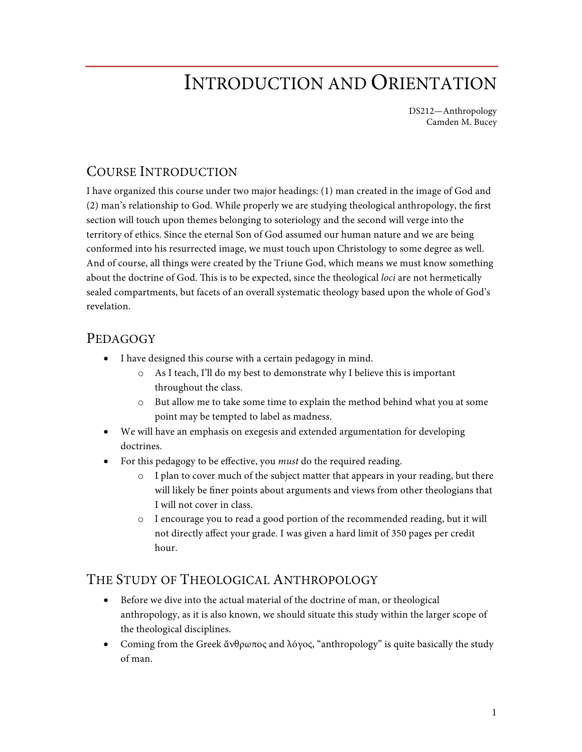# INTRODUCTION AND ORIENTATION

DS212—Anthropology Camden M. Bucey

#### COURSE INTRODUCTION

I have organized this course under two major headings: (1) man created in the image of God and (2) man's relationship to God. While properly we are studying theological anthropology, the first section will touch upon themes belonging to soteriology and the second will verge into the territory of ethics. Since the eternal Son of God assumed our human nature and we are being conformed into his resurrected image, we must touch upon Christology to some degree as well. And of course, all things were created by the Triune God, which means we must know something about the doctrine of God. This is to be expected, since the theological *loci* are not hermetically sealed compartments, but facets of an overall systematic theology based upon the whole of God's revelation.

#### PEDAGOGY

- I have designed this course with a certain pedagogy in mind.
	- o As I teach, I'll do my best to demonstrate why I believe this is important throughout the class.
	- o But allow me to take some time to explain the method behind what you at some point may be tempted to label as madness.
- We will have an emphasis on exegesis and extended argumentation for developing doctrines.
- For this pedagogy to be effective, you *must* do the required reading.
	- o I plan to cover much of the subject matter that appears in your reading, but there will likely be finer points about arguments and views from other theologians that I will not cover in class.
	- o I encourage you to read a good portion of the recommended reading, but it will not directly affect your grade. I was given a hard limit of 350 pages per credit hour.

#### THE STUDY OF THEOLOGICAL ANTHROPOLOGY

- Before we dive into the actual material of the doctrine of man, or theological anthropology, as it is also known, we should situate this study within the larger scope of the theological disciplines.
- Coming from the Greek ἄνθρωπος and λόγος, "anthropology" is quite basically the study of man.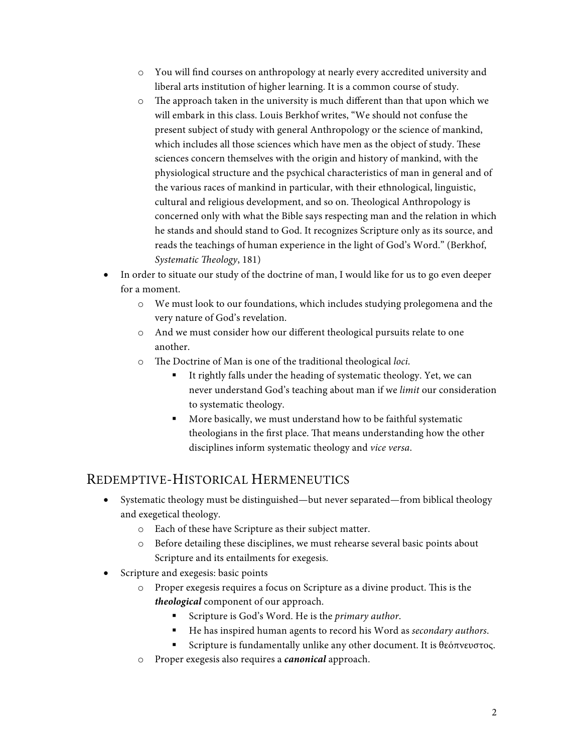- o You will find courses on anthropology at nearly every accredited university and liberal arts institution of higher learning. It is a common course of study.
- o The approach taken in the university is much different than that upon which we will embark in this class. Louis Berkhof writes, "We should not confuse the present subject of study with general Anthropology or the science of mankind, which includes all those sciences which have men as the object of study. These sciences concern themselves with the origin and history of mankind, with the physiological structure and the psychical characteristics of man in general and of the various races of mankind in particular, with their ethnological, linguistic, cultural and religious development, and so on. Theological Anthropology is concerned only with what the Bible says respecting man and the relation in which he stands and should stand to God. It recognizes Scripture only as its source, and reads the teachings of human experience in the light of God's Word." (Berkhof, *Systematic Theology*, 181)
- In order to situate our study of the doctrine of man, I would like for us to go even deeper for a moment.
	- o We must look to our foundations, which includes studying prolegomena and the very nature of God's revelation.
	- o And we must consider how our different theological pursuits relate to one another.
	- o The Doctrine of Man is one of the traditional theological *loci*.
		- § It rightly falls under the heading of systematic theology. Yet, we can never understand God's teaching about man if we *limit* our consideration to systematic theology.
		- More basically, we must understand how to be faithful systematic theologians in the first place. That means understanding how the other disciplines inform systematic theology and *vice versa*.

### REDEMPTIVE-HISTORICAL HERMENEUTICS

- Systematic theology must be distinguished—but never separated—from biblical theology and exegetical theology.
	- o Each of these have Scripture as their subject matter.
	- o Before detailing these disciplines, we must rehearse several basic points about Scripture and its entailments for exegesis.
- Scripture and exegesis: basic points
	- o Proper exegesis requires a focus on Scripture as a divine product. This is the *theological* component of our approach.
		- Scripture is God's Word. He is the *primary author*.
		- He has inspired human agents to record his Word as *secondary authors*.
		- Scripture is fundamentally unlike any other document. It is θεόπνευστος.
	- o Proper exegesis also requires a *canonical* approach.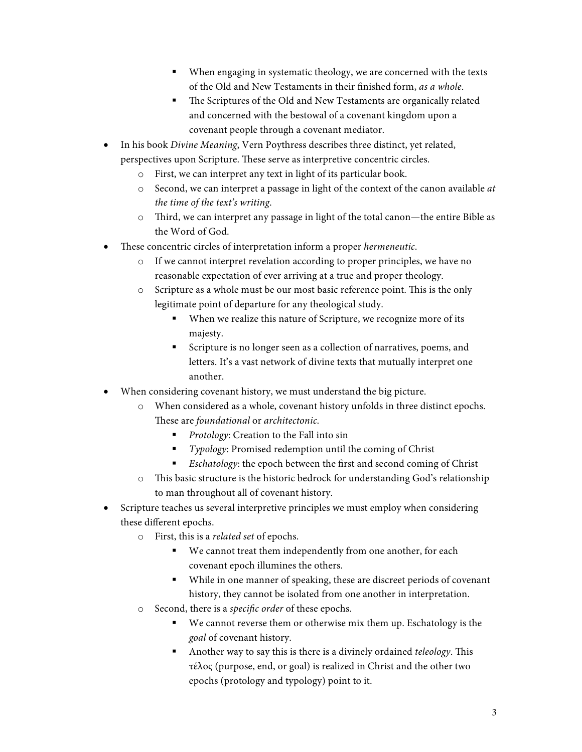- § When engaging in systematic theology, we are concerned with the texts of the Old and New Testaments in their finished form, *as a whole*.
- The Scriptures of the Old and New Testaments are organically related and concerned with the bestowal of a covenant kingdom upon a covenant people through a covenant mediator.
- In his book *Divine Meaning*, Vern Poythress describes three distinct, yet related, perspectives upon Scripture. These serve as interpretive concentric circles.
	- o First, we can interpret any text in light of its particular book.
	- o Second, we can interpret a passage in light of the context of the canon available *at the time of the text's writing*.
	- o Third, we can interpret any passage in light of the total canon—the entire Bible as the Word of God.
- These concentric circles of interpretation inform a proper *hermeneutic*.
	- o If we cannot interpret revelation according to proper principles, we have no reasonable expectation of ever arriving at a true and proper theology.
	- o Scripture as a whole must be our most basic reference point. This is the only legitimate point of departure for any theological study.
		- When we realize this nature of Scripture, we recognize more of its majesty.
		- Scripture is no longer seen as a collection of narratives, poems, and letters. It's a vast network of divine texts that mutually interpret one another.
- When considering covenant history, we must understand the big picture.
	- o When considered as a whole, covenant history unfolds in three distinct epochs. These are *foundational* or *architectonic*.
		- *Protology*: Creation to the Fall into sin
		- *Typology*: Promised redemption until the coming of Christ
		- *Eschatology*: the epoch between the first and second coming of Christ
	- o This basic structure is the historic bedrock for understanding God's relationship to man throughout all of covenant history.
- Scripture teaches us several interpretive principles we must employ when considering these different epochs.
	- o First, this is a *related set* of epochs.
		- We cannot treat them independently from one another, for each covenant epoch illumines the others.
		- § While in one manner of speaking, these are discreet periods of covenant history, they cannot be isolated from one another in interpretation.
	- o Second, there is a *specific order* of these epochs.
		- We cannot reverse them or otherwise mix them up. Eschatology is the *goal* of covenant history.
		- § Another way to say this is there is a divinely ordained *teleology*. This τέλος (purpose, end, or goal) is realized in Christ and the other two epochs (protology and typology) point to it.